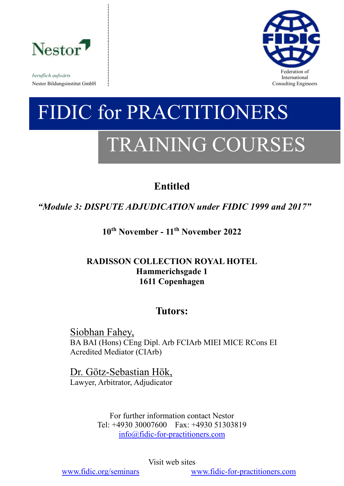

*beruflich aufwärts* Nestor Bildungsinstitut GmbH consulting Engineers and Solution Consulting Engineers and Consulting Engineers and Consulting Engineers and Consulting Engineers and Solution of the Solution of the Solution of the Solution of



# FIDIC for PRACTITIONERS TRAINING COURSES

# **Entitled**

*"Module 3: DISPUTE ADJUDICATION under FIDIC 1999 and 2017"*

**10th November - 11th November 2022**

## **RADISSON COLLECTION ROYAL HOTEL Hammerichsgade 1 1611 Copenhagen**

# **Tutors:**

Siobhan Fahey, BA BAI (Hons) CEng Dipl. Arb FCIArb MIEI MICE RCons EI Acredited Mediator (CIArb)

Dr. Götz-Sebastian Hök,

Lawyer, Arbitrator, Adjudicator

For further information contact Nestor Tel: +4930 30007600 Fax: +4930 51303819 [info@fidic-for-practitioners.com](mailto:info@fidic-for-practitioners.com)

Visit web sites

[www.fidic.org/seminars](http://www.fidic.org/seminars) [www.fidic-for-practitioners.com](http://www.fidic-for-practitioners.com/)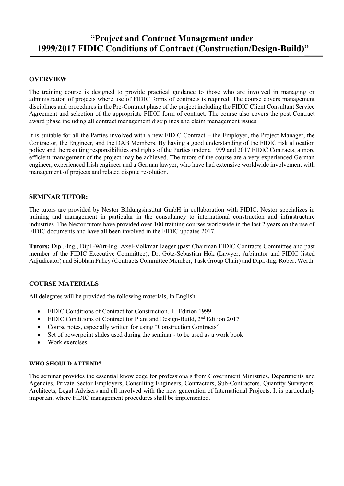## **"Project and Contract Management under 1999/2017 FIDIC Conditions of Contract (Construction/Design-Build)"**

#### **OVERVIEW**

The training course is designed to provide practical guidance to those who are involved in managing or administration of projects where use of FIDIC forms of contracts is required. The course covers management disciplines and procedures in the Pre-Contract phase of the project including the FIDIC Client Consultant Service Agreement and selection of the appropriate FIDIC form of contract. The course also covers the post Contract award phase including all contract management disciplines and claim management issues.

It is suitable for all the Parties involved with a new FIDIC Contract – the Employer, the Project Manager, the Contractor, the Engineer, and the DAB Members. By having a good understanding of the FIDIC risk allocation policy and the resulting responsibilities and rights of the Parties under a 1999 and 2017 FIDIC Contracts, a more efficient management of the project may be achieved. The tutors of the course are a very experienced German engineer, experienced Irish engineer and a German lawyer, who have had extensive worldwide involvement with management of projects and related dispute resolution.

#### **SEMINAR TUTOR:**

The tutors are provided by Nestor Bildungsinstitut GmbH in collaboration with FIDIC. Nestor specializes in training and management in particular in the consultancy to international construction and infrastructure industries. The Nestor tutors have provided over 100 training courses worldwide in the last 2 years on the use of FIDIC documents and have all been involved in the FIDIC updates 2017.

**Tutors:** Dipl.-Ing., Dipl.-Wirt-Ing. Axel-Volkmar Jaeger (past Chairman FIDIC Contracts Committee and past member of the FIDIC Executive Committee), Dr. Götz-Sebastian Hök (Lawyer, Arbitrator and FIDIC listed Adjudicator) and Siobhan Fahey (Contracts Committee Member, Task Group Chair) and Dipl.-Ing. Robert Werth.

#### **COURSE MATERIALS**

All delegates will be provided the following materials, in English:

- FIDIC Conditions of Contract for Construction, 1<sup>st</sup> Edition 1999
- FIDIC Conditions of Contract for Plant and Design-Build, 2<sup>nd</sup> Edition 2017
- Course notes, especially written for using "Construction Contracts"
- Set of powerpoint slides used during the seminar to be used as a work book
- Work exercises

#### **WHO SHOULD ATTEND?**

The seminar provides the essential knowledge for professionals from Government Ministries, Departments and Agencies, Private Sector Employers, Consulting Engineers, Contractors, Sub-Contractors, Quantity Surveyors, Architects, Legal Advisers and all involved with the new generation of International Projects. It is particularly important where FIDIC management procedures shall be implemented.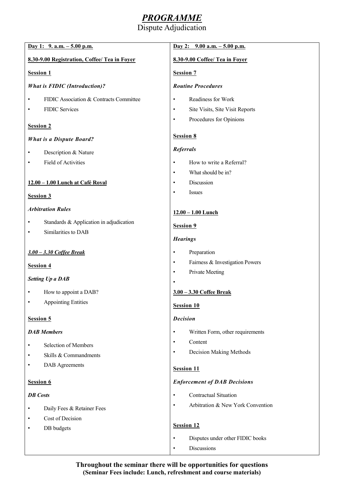# *PROGRAMME*

#### Dispute Adjudication

| Day 1: $9. a.m. - 5.00 p.m.$                 | Day 2: $9.00$ a.m. $-5.00$ p.m.                |
|----------------------------------------------|------------------------------------------------|
| 8.30-9.00 Registration, Coffee/ Tea in Foyer | 8.30-9.00 Coffee/ Tea in Foyer                 |
| <b>Session 1</b>                             | <b>Session 7</b>                               |
| <b>What is FIDIC (Introduction)?</b>         | <b>Routine Procedures</b>                      |
| FIDIC Association & Contracts Committee      | Readiness for Work<br>$\bullet$                |
| FIDIC Services                               | Site Visits, Site Visit Reports<br>$\bullet$   |
| <b>Session 2</b>                             | Procedures for Opinions<br>$\bullet$           |
| <b>What is a Dispute Board?</b>              | <b>Session 8</b>                               |
| Description & Nature                         | <b>Referrals</b>                               |
| Field of Activities                          | How to write a Referral?<br>$\bullet$          |
|                                              | What should be in?<br>$\bullet$                |
| 12.00 - 1.00 Lunch at Café Royal             | Discussion<br>$\bullet$                        |
| <b>Session 3</b>                             | Issues                                         |
| <b>Arbitration Rules</b>                     | $12.00 - 1.00$ Lunch                           |
| Standards & Application in adjudication      | <b>Session 9</b>                               |
| Similarities to DAB<br>٠                     |                                                |
|                                              | <b>Hearings</b>                                |
| 3.00 - 3.30 Coffee Break                     | Preparation<br>٠                               |
| <b>Session 4</b>                             | Fairness & Investigation Powers<br>$\bullet$   |
| <b>Setting Up a DAB</b>                      | Private Meeting<br>$\bullet$                   |
| How to appoint a DAB?                        | 3.00 - 3.30 Coffee Break                       |
| <b>Appointing Entities</b><br>$\bullet$      | <b>Session 10</b>                              |
|                                              |                                                |
| Session 5                                    | <b>Decision</b>                                |
| <b>DAB</b> Members                           | Written Form, other requirements<br>٠          |
| Selection of Members                         | Content<br>$\bullet$                           |
| Skills & Commandments<br>$\bullet$           | Decision Making Methods                        |
| <b>DAB</b> Agreements<br>٠                   | <b>Session 11</b>                              |
| Session 6                                    | <b>Enforcement of DAB Decisions</b>            |
| <b>DB</b> Costs                              | <b>Contractual Situation</b><br>$\bullet$      |
| Daily Fees & Retainer Fees                   | Arbitration & New York Convention<br>$\bullet$ |
| Cost of Decision<br>٠                        |                                                |
| DB budgets                                   | <b>Session 12</b>                              |
|                                              | Disputes under other FIDIC books<br>$\bullet$  |
|                                              | Discussions<br>$\bullet$                       |

**Throughout the seminar there will be opportunities for questions (Seminar Fees include: Lunch, refreshment and course materials)**